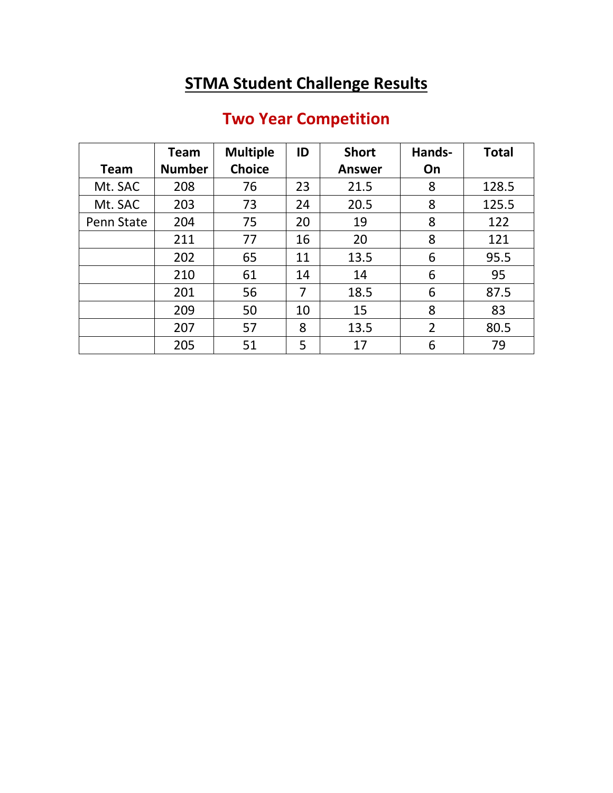## **STMA Student Challenge Results**

## **Two Year Competition**

|             | Team          | <b>Multiple</b> | ID | <b>Short</b>  | Hands-         | <b>Total</b> |
|-------------|---------------|-----------------|----|---------------|----------------|--------------|
| <b>Team</b> | <b>Number</b> | <b>Choice</b>   |    | <b>Answer</b> | On             |              |
| Mt. SAC     | 208           | 76              | 23 | 21.5          | 8              | 128.5        |
| Mt. SAC     | 203           | 73              | 24 | 20.5          | 8              | 125.5        |
| Penn State  | 204           | 75              | 20 | 19            | 8              | 122          |
|             | 211           | 77              | 16 | 20            | 8              | 121          |
|             | 202           | 65              | 11 | 13.5          | 6              | 95.5         |
|             | 210           | 61              | 14 | 14            | 6              | 95           |
|             | 201           | 56              | 7  | 18.5          | 6              | 87.5         |
|             | 209           | 50              | 10 | 15            | 8              | 83           |
|             | 207           | 57              | 8  | 13.5          | $\overline{2}$ | 80.5         |
|             | 205           | 51              | 5  | 17            | 6              | 79           |